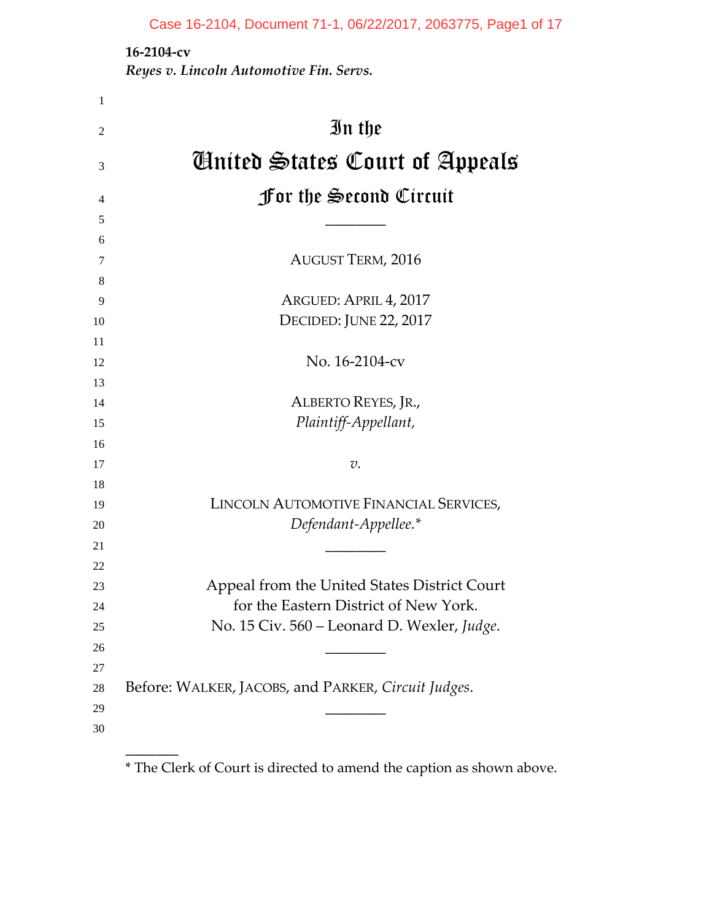**‐2104‐cv**

 $\overline{\phantom{a}}$ 

*Reyes v. Lincoln Automotive Fin. Servs.*

| $\mathbf{1}$   |                                                     |
|----------------|-----------------------------------------------------|
| $\overline{2}$ | In the                                              |
| 3              | Ginited States Court of Appeals                     |
| 4              | <b>for the Second Circuit</b>                       |
| 5              |                                                     |
| 6              |                                                     |
| 7              | <b>AUGUST TERM, 2016</b>                            |
| 8              |                                                     |
| 9              | ARGUED: APRIL 4, 2017                               |
| 10             | DECIDED: JUNE 22, 2017                              |
| 11             |                                                     |
| 12             | No. 16-2104-cv                                      |
| 13             |                                                     |
| 14             | ALBERTO REYES, JR.,                                 |
| 15             | Plaintiff-Appellant,                                |
| 16             |                                                     |
| 17             | v.                                                  |
| 18             |                                                     |
| 19             | LINCOLN AUTOMOTIVE FINANCIAL SERVICES,              |
| 20             | Defendant-Appellee.*                                |
| 21             |                                                     |
| 22             |                                                     |
| 23             | Appeal from the United States District Court        |
| 24             | for the Eastern District of New York.               |
| 25             | No. 15 Civ. 560 - Leonard D. Wexler, Judge.         |
| 26             |                                                     |
| 27             |                                                     |
| 28             | Before: WALKER, JACOBS, and PARKER, Circuit Judges. |
| 29             |                                                     |
| 30             |                                                     |
|                |                                                     |

\* The Clerk of Court is directed to amend the caption as shown above.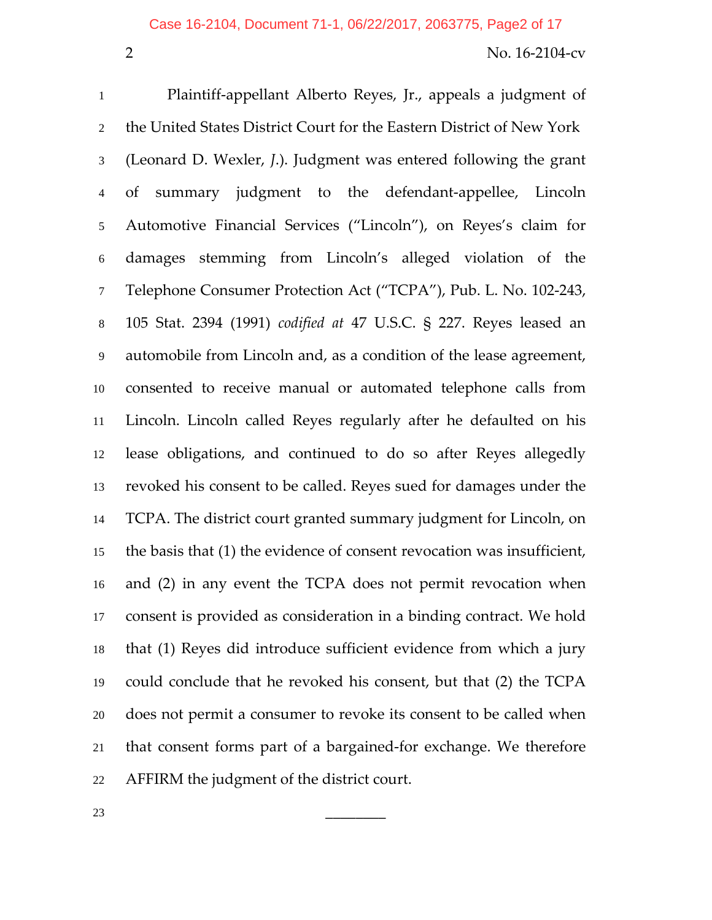Plaintiff‐appellant Alberto Reyes, Jr., appeals a judgment of the United States District Court for the Eastern District of New York (Leonard D. Wexler, *J*.). Judgment was entered following the grant of summary judgment to the defendant‐appellee, Lincoln Automotive Financial Services ("Lincoln"), on Reyes's claim for damages stemming from Lincoln's alleged violation of the Telephone Consumer Protection Act ("TCPA"), Pub. L. No. 102‐243, 105 Stat. 2394 (1991) *codified at* 47 U.S.C. § 227. Reyes leased an automobile from Lincoln and, as a condition of the lease agreement, consented to receive manual or automated telephone calls from Lincoln. Lincoln called Reyes regularly after he defaulted on his lease obligations, and continued to do so after Reyes allegedly revoked his consent to be called. Reyes sued for damages under the TCPA. The district court granted summary judgment for Lincoln, on the basis that (1) the evidence of consent revocation was insufficient, and (2) in any event the TCPA does not permit revocation when consent is provided as consideration in a binding contract. We hold that (1) Reyes did introduce sufficient evidence from which a jury could conclude that he revoked his consent, but that (2) the TCPA does not permit a consumer to revoke its consent to be called when that consent forms part of a bargained‐for exchange. We therefore AFFIRM the judgment of the district court.

\_\_\_\_\_\_\_\_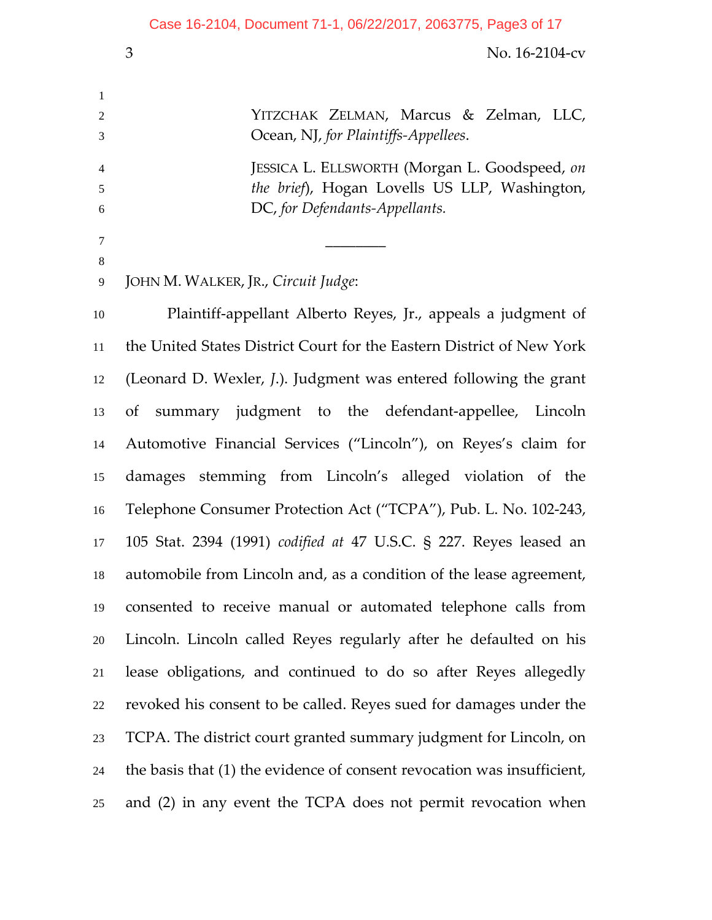No. 16‐2104‐cv YITZCHAK ZELMAN, Marcus & Zelman, LLC, Ocean, NJ, *for Plaintiffs‐Appellees*. JESSICA L. ELLSWORTH (Morgan L. Goodspeed, *on the brief*), Hogan Lovells US LLP, Washington, DC, *for Defendants‐Appellants.*

\_\_\_\_\_\_\_\_ 

JOHN M. WALKER, JR., *Circuit Judge*:

Plaintiff‐appellant Alberto Reyes, Jr., appeals a judgment of the United States District Court for the Eastern District of New York (Leonard D. Wexler, *J*.). Judgment was entered following the grant of summary judgment to the defendant‐appellee, Lincoln Automotive Financial Services ("Lincoln"), on Reyes's claim for damages stemming from Lincoln's alleged violation of the Telephone Consumer Protection Act ("TCPA"), Pub. L. No. 102‐243, 105 Stat. 2394 (1991) *codified at* 47 U.S.C. § 227. Reyes leased an automobile from Lincoln and, as a condition of the lease agreement, consented to receive manual or automated telephone calls from Lincoln. Lincoln called Reyes regularly after he defaulted on his lease obligations, and continued to do so after Reyes allegedly revoked his consent to be called. Reyes sued for damages under the TCPA. The district court granted summary judgment for Lincoln, on the basis that (1) the evidence of consent revocation was insufficient, and (2) in any event the TCPA does not permit revocation when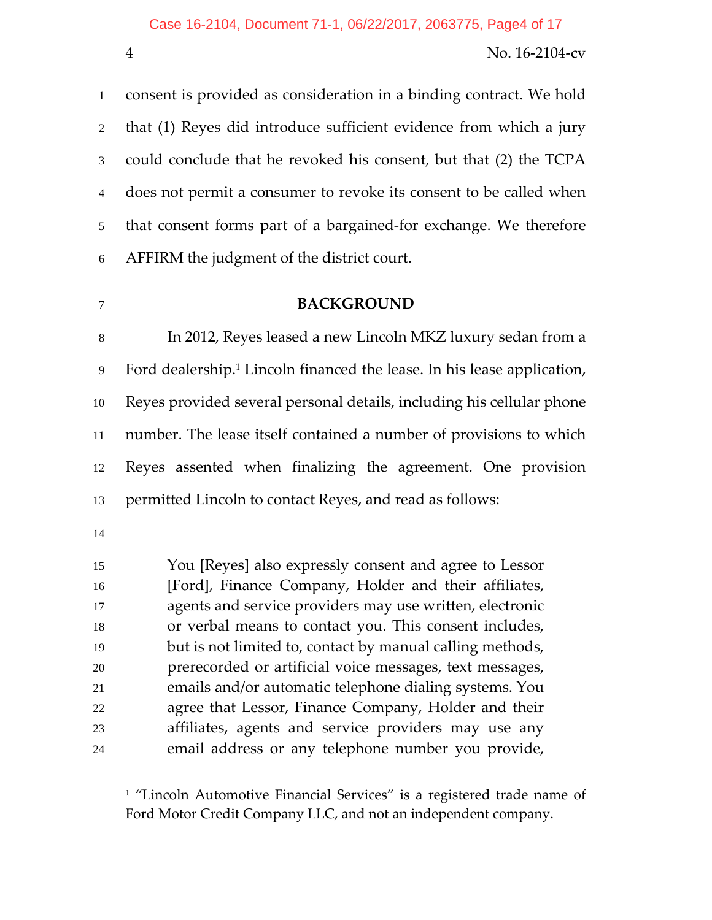consent is provided as consideration in a binding contract. We hold that (1) Reyes did introduce sufficient evidence from which a jury could conclude that he revoked his consent, but that (2) the TCPA does not permit a consumer to revoke its consent to be called when 5 that consent forms part of a bargained-for exchange. We therefore AFFIRM the judgment of the district court.

#### **BACKGROUND**

In 2012, Reyes leased a new Lincoln MKZ luxury sedan from a 9 Ford dealership.<sup>1</sup> Lincoln financed the lease. In his lease application, Reyes provided several personal details, including his cellular phone number. The lease itself contained a number of provisions to which Reyes assented when finalizing the agreement. One provision permitted Lincoln to contact Reyes, and read as follows:

 $\overline{a}$ 

You [Reyes] also expressly consent and agree to Lessor [Ford], Finance Company, Holder and their affiliates, agents and service providers may use written, electronic or verbal means to contact you. This consent includes, but is not limited to, contact by manual calling methods, prerecorded or artificial voice messages, text messages, emails and/or automatic telephone dialing systems. You agree that Lessor, Finance Company, Holder and their affiliates, agents and service providers may use any email address or any telephone number you provide,

<sup>&</sup>lt;sup>1</sup> "Lincoln Automotive Financial Services" is a registered trade name of Ford Motor Credit Company LLC, and not an independent company.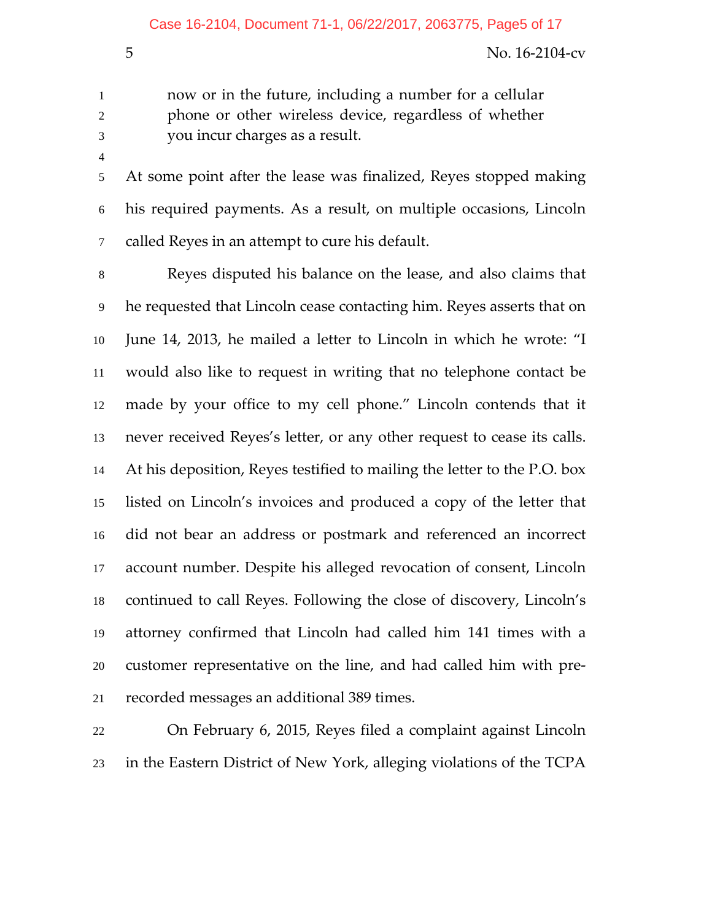now or in the future, including a number for a cellular phone or other wireless device, regardless of whether you incur charges as a result.

At some point after the lease was finalized, Reyes stopped making his required payments. As a result, on multiple occasions, Lincoln called Reyes in an attempt to cure his default.

Reyes disputed his balance on the lease, and also claims that he requested that Lincoln cease contacting him. Reyes asserts that on June 14, 2013, he mailed a letter to Lincoln in which he wrote: "I would also like to request in writing that no telephone contact be made by your office to my cell phone." Lincoln contends that it never received Reyes's letter, or any other request to cease its calls. At his deposition, Reyes testified to mailing the letter to the P.O. box listed on Lincoln's invoices and produced a copy of the letter that did not bear an address or postmark and referenced an incorrect account number. Despite his alleged revocation of consent, Lincoln continued to call Reyes. Following the close of discovery, Lincoln's attorney confirmed that Lincoln had called him 141 times with a customer representative on the line, and had called him with pre‐ recorded messages an additional 389 times.

On February 6, 2015, Reyes filed a complaint against Lincoln in the Eastern District of New York, alleging violations of the TCPA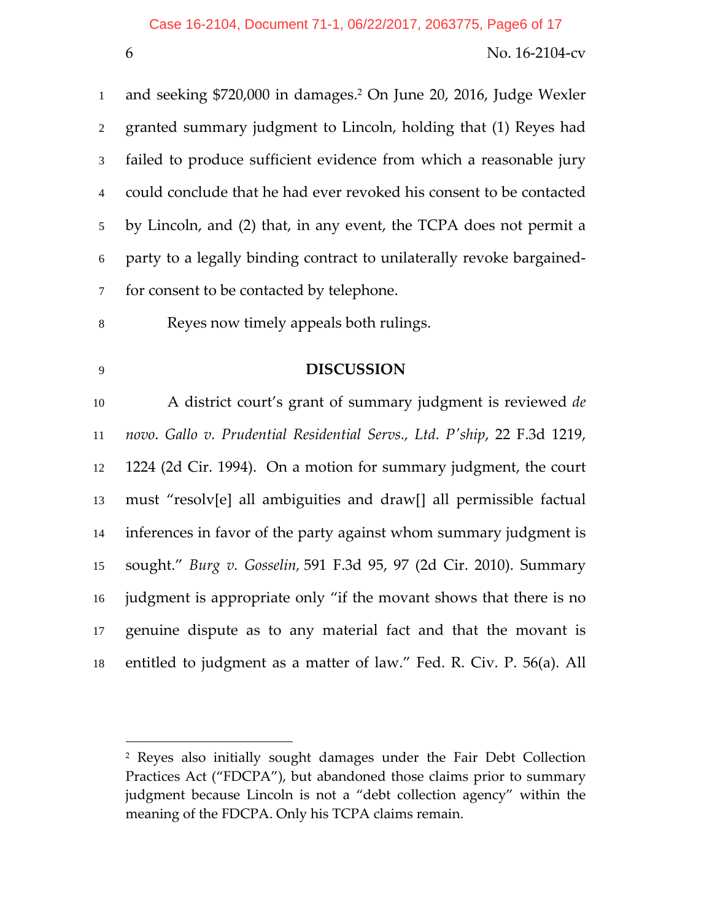1 and seeking  $$720,000$  in damages.<sup>2</sup> On June 20, 2016, Judge Wexler granted summary judgment to Lincoln, holding that (1) Reyes had failed to produce sufficient evidence from which a reasonable jury could conclude that he had ever revoked his consent to be contacted by Lincoln, and (2) that, in any event, the TCPA does not permit a party to a legally binding contract to unilaterally revoke bargained‐ for consent to be contacted by telephone.

- Reyes now timely appeals both rulings.
- 

 $\overline{a}$ 

# **DISCUSSION**

A district court's grant of summary judgment is reviewed *de novo*. *Gallo v. Prudential Residential Servs., Ltd. Pʹship*, 22 F.3d 1219, 1224 (2d Cir. 1994). On a motion for summary judgment, the court must "resolv[e] all ambiguities and draw[] all permissible factual inferences in favor of the party against whom summary judgment is sought." *Burg v. Gosselin,* 591 F.3d 95, 97 (2d Cir. 2010). Summary judgment is appropriate only "if the movant shows that there is no genuine dispute as to any material fact and that the movant is entitled to judgment as a matter of law." Fed. R. Civ. P. 56(a). All

 Reyes also initially sought damages under the Fair Debt Collection Practices Act ("FDCPA"), but abandoned those claims prior to summary judgment because Lincoln is not a "debt collection agency" within the meaning of the FDCPA. Only his TCPA claims remain.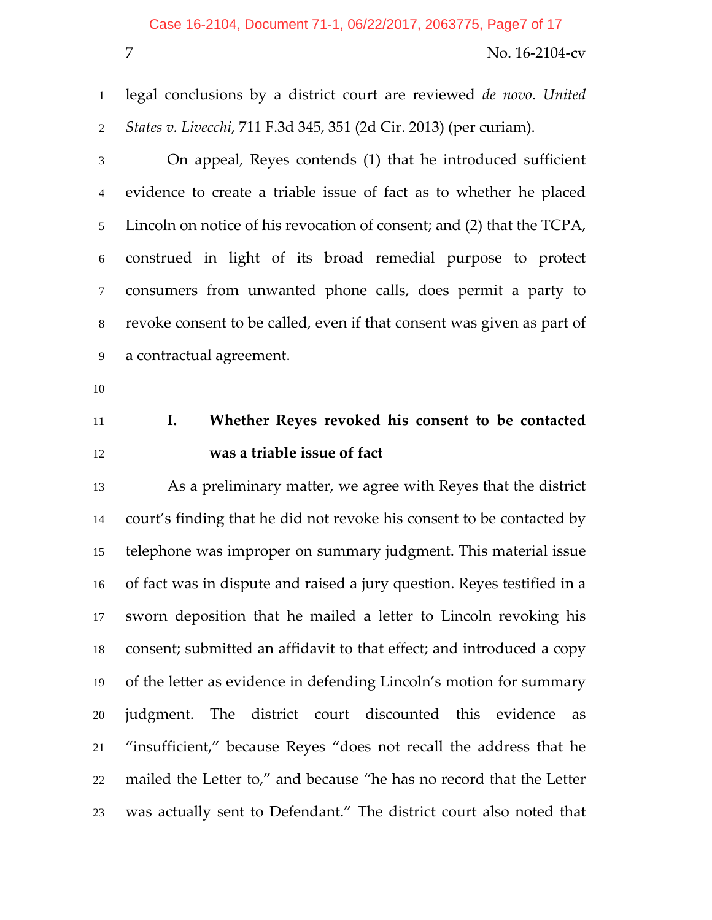legal conclusions by a district court are reviewed *de novo*. *United States v. Livecchi*, 711 F.3d 345, 351 (2d Cir. 2013) (per curiam).

On appeal, Reyes contends (1) that he introduced sufficient evidence to create a triable issue of fact as to whether he placed Lincoln on notice of his revocation of consent; and (2) that the TCPA, construed in light of its broad remedial purpose to protect consumers from unwanted phone calls, does permit a party to revoke consent to be called, even if that consent was given as part of a contractual agreement.

- 
- 

# **I. Whether Reyes revoked his consent to be contacted was a triable issue of fact**

As a preliminary matter, we agree with Reyes that the district court's finding that he did not revoke his consent to be contacted by telephone was improper on summary judgment. This material issue of fact was in dispute and raised a jury question. Reyes testified in a sworn deposition that he mailed a letter to Lincoln revoking his consent; submitted an affidavit to that effect; and introduced a copy of the letter as evidence in defending Lincoln's motion for summary judgment. The district court discounted this evidence as "insufficient," because Reyes "does not recall the address that he mailed the Letter to," and because "he has no record that the Letter was actually sent to Defendant." The district court also noted that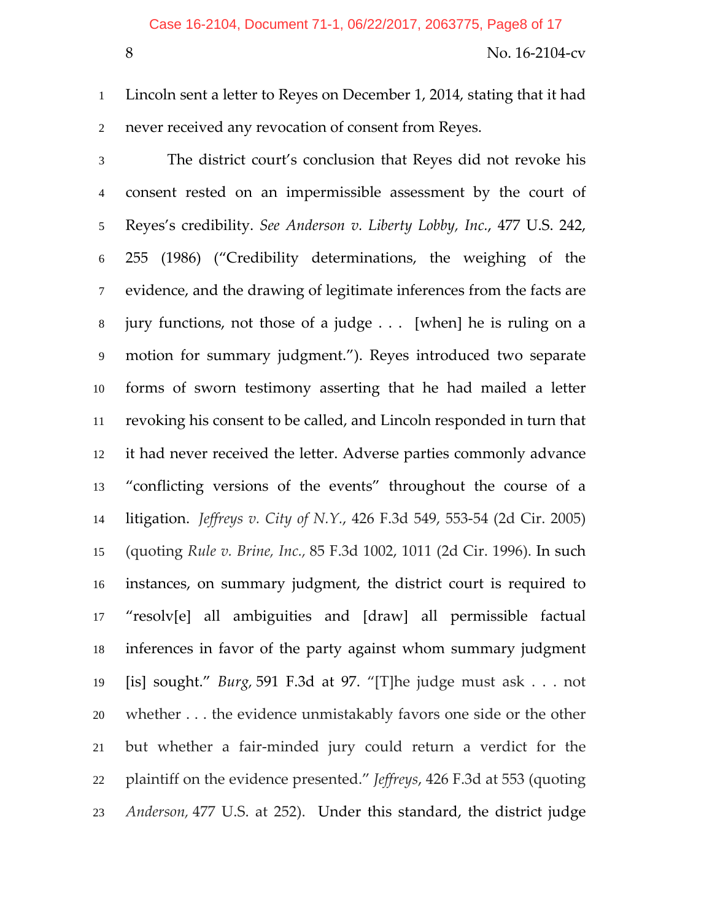Lincoln sent a letter to Reyes on December 1, 2014, stating that it had never received any revocation of consent from Reyes.

The district court's conclusion that Reyes did not revoke his consent rested on an impermissible assessment by the court of Reyes's credibility. *See Anderson v. Liberty Lobby, Inc.*, 477 U.S. 242, 255 (1986) ("Credibility determinations, the weighing of the evidence, and the drawing of legitimate inferences from the facts are jury functions, not those of a judge . . . [when] he is ruling on a motion for summary judgment."). Reyes introduced two separate forms of sworn testimony asserting that he had mailed a letter revoking his consent to be called, and Lincoln responded in turn that it had never received the letter. Adverse parties commonly advance "conflicting versions of the events" throughout the course of a litigation. *Jeffreys v. City of N.Y.*, 426 F.3d 549, 553‐54 (2d Cir. 2005) (quoting *Rule v. Brine, Inc.,* 85 F.3d 1002, 1011 (2d Cir. 1996). In such instances, on summary judgment, the district court is required to "resolv[e] all ambiguities and [draw] all permissible factual inferences in favor of the party against whom summary judgment [is] sought." *Burg,* 591 F.3d at 97. "[T]he judge must ask . . . not whether . . . the evidence unmistakably favors one side or the other but whether a fair‐minded jury could return a verdict for the plaintiff on the evidence presented." *Jeffreys*, 426 F.3d at 553 (quoting *Anderson,* 477 U.S. at 252). Under this standard, the district judge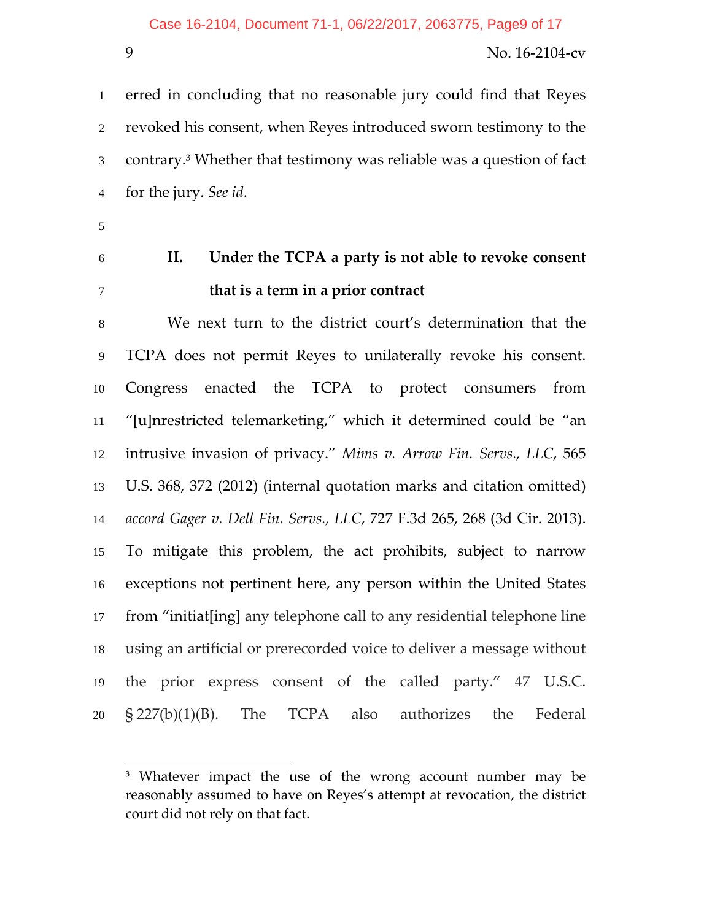erred in concluding that no reasonable jury could find that Reyes revoked his consent, when Reyes introduced sworn testimony to the 3 contrary.<sup>3</sup> Whether that testimony was reliable was a question of fact for the jury. *See id*.

- 
- 

 $\overline{a}$ 

# **II. Under the TCPA a party is not able to revoke consent that is a term in a prior contract**

We next turn to the district court's determination that the TCPA does not permit Reyes to unilaterally revoke his consent. Congress enacted the TCPA to protect consumers from "[u]nrestricted telemarketing," which it determined could be "an intrusive invasion of privacy." *Mims v. Arrow Fin. Servs., LLC*, 565 U.S. 368, 372 (2012) (internal quotation marks and citation omitted) *accord Gager v. Dell Fin. Servs., LLC*, 727 F.3d 265, 268 (3d Cir. 2013). To mitigate this problem, the act prohibits, subject to narrow exceptions not pertinent here, any person within the United States from "initiat[ing] any telephone call to any residential telephone line using an artificial or prerecorded voice to deliver a message without the prior express consent of the called party." 47 U.S.C. § 227(b)(1)(B). The TCPA also authorizes the Federal

<sup>&</sup>lt;sup>3</sup> Whatever impact the use of the wrong account number may be reasonably assumed to have on Reyes's attempt at revocation, the district court did not rely on that fact.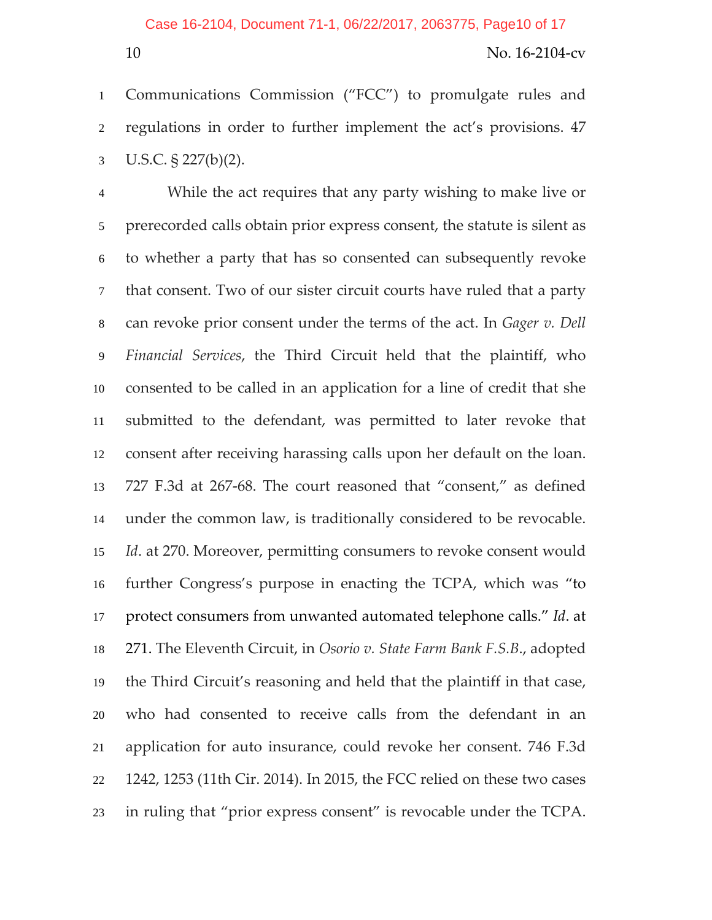Communications Commission ("FCC") to promulgate rules and regulations in order to further implement the act's provisions. 47 U.S.C. § 227(b)(2).

While the act requires that any party wishing to make live or prerecorded calls obtain prior express consent, the statute is silent as to whether a party that has so consented can subsequently revoke that consent. Two of our sister circuit courts have ruled that a party can revoke prior consent under the terms of the act. In *Gager v. Dell Financial Services*, the Third Circuit held that the plaintiff, who consented to be called in an application for a line of credit that she submitted to the defendant, was permitted to later revoke that consent after receiving harassing calls upon her default on the loan. 727 F.3d at 267‐68. The court reasoned that "consent," as defined under the common law, is traditionally considered to be revocable. *Id*. at 270. Moreover, permitting consumers to revoke consent would further Congress's purpose in enacting the TCPA, which was "to protect consumers from unwanted automated telephone calls." *Id*. at 271. The Eleventh Circuit, in *Osorio v. State Farm Bank F.S.B*., adopted the Third Circuit's reasoning and held that the plaintiff in that case, who had consented to receive calls from the defendant in an application for auto insurance, could revoke her consent. 746 F.3d 1242, 1253 (11th Cir. 2014). In 2015, the FCC relied on these two cases in ruling that "prior express consent" is revocable under the TCPA.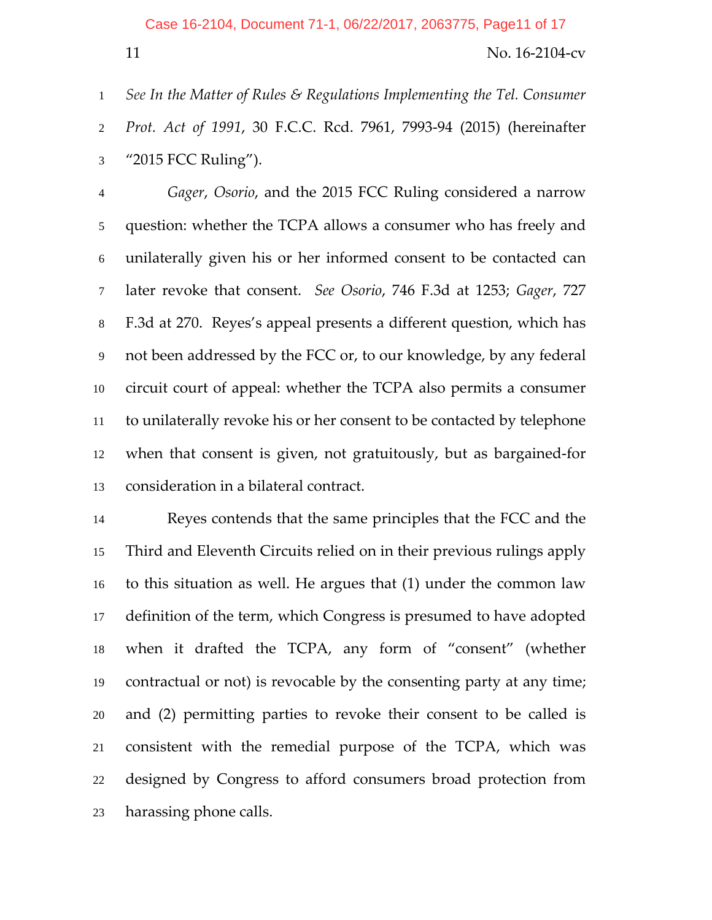*See In the Matter of Rules & Regulations Implementing the Tel. Consumer Prot. Act of 1991*, 30 F.C.C. Rcd. 7961, 7993‐94 (2015) (hereinafter "2015 FCC Ruling").

*Gager*, *Osorio*, and the 2015 FCC Ruling considered a narrow question: whether the TCPA allows a consumer who has freely and unilaterally given his or her informed consent to be contacted can later revoke that consent. *See Osorio*, 746 F.3d at 1253; *Gager*, 727 F.3d at 270. Reyes's appeal presents a different question, which has not been addressed by the FCC or, to our knowledge, by any federal circuit court of appeal: whether the TCPA also permits a consumer to unilaterally revoke his or her consent to be contacted by telephone when that consent is given, not gratuitously, but as bargained‐for consideration in a bilateral contract.

Reyes contends that the same principles that the FCC and the Third and Eleventh Circuits relied on in their previous rulings apply to this situation as well. He argues that (1) under the common law definition of the term, which Congress is presumed to have adopted when it drafted the TCPA, any form of "consent" (whether contractual or not) is revocable by the consenting party at any time; and (2) permitting parties to revoke their consent to be called is consistent with the remedial purpose of the TCPA, which was designed by Congress to afford consumers broad protection from harassing phone calls.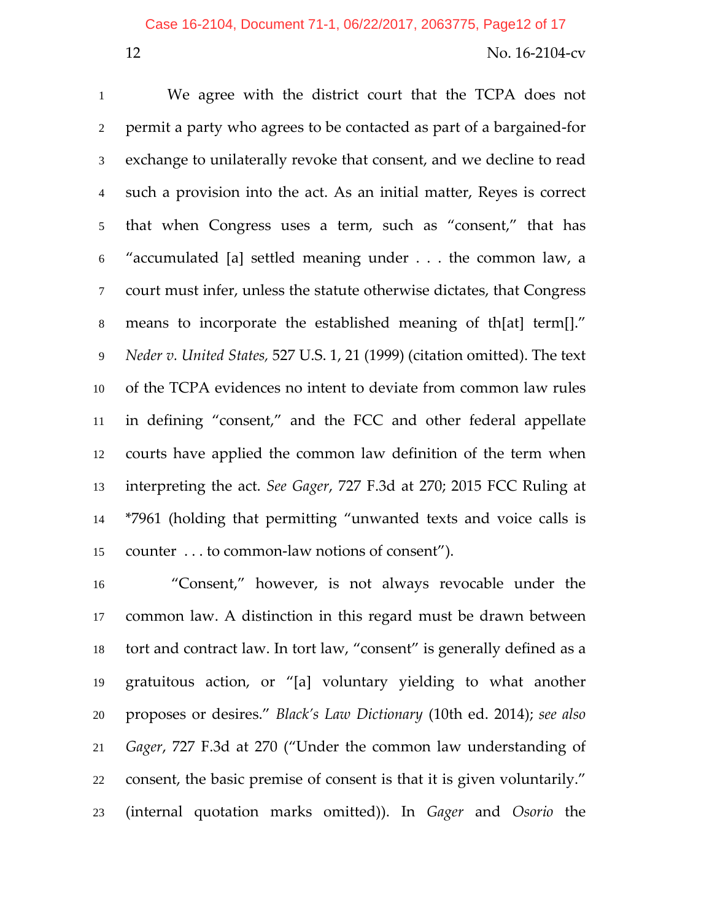We agree with the district court that the TCPA does not permit a party who agrees to be contacted as part of a bargained‐for exchange to unilaterally revoke that consent, and we decline to read such a provision into the act. As an initial matter, Reyes is correct that when Congress uses a term, such as "consent," that has "accumulated [a] settled meaning under . . . the common law, a court must infer, unless the statute otherwise dictates, that Congress means to incorporate the established meaning of th[at] term[]." *Neder v. United States,* 527 U.S. 1, 21 (1999) (citation omitted). The text of the TCPA evidences no intent to deviate from common law rules in defining "consent," and the FCC and other federal appellate courts have applied the common law definition of the term when interpreting the act. *See Gager*, 727 F.3d at 270; 2015 FCC Ruling at \*7961 (holding that permitting "unwanted texts and voice calls is counter . . . to common‐law notions of consent").

"Consent," however, is not always revocable under the common law. A distinction in this regard must be drawn between tort and contract law. In tort law, "consent" is generally defined as a gratuitous action, or "[a] voluntary yielding to what another proposes or desires." *Black's Law Dictionary* (10th ed. 2014); *see also Gager*, 727 F.3d at 270 ("Under the common law understanding of consent, the basic premise of consent is that it is given voluntarily." (internal quotation marks omitted)). In *Gager* and *Osorio* the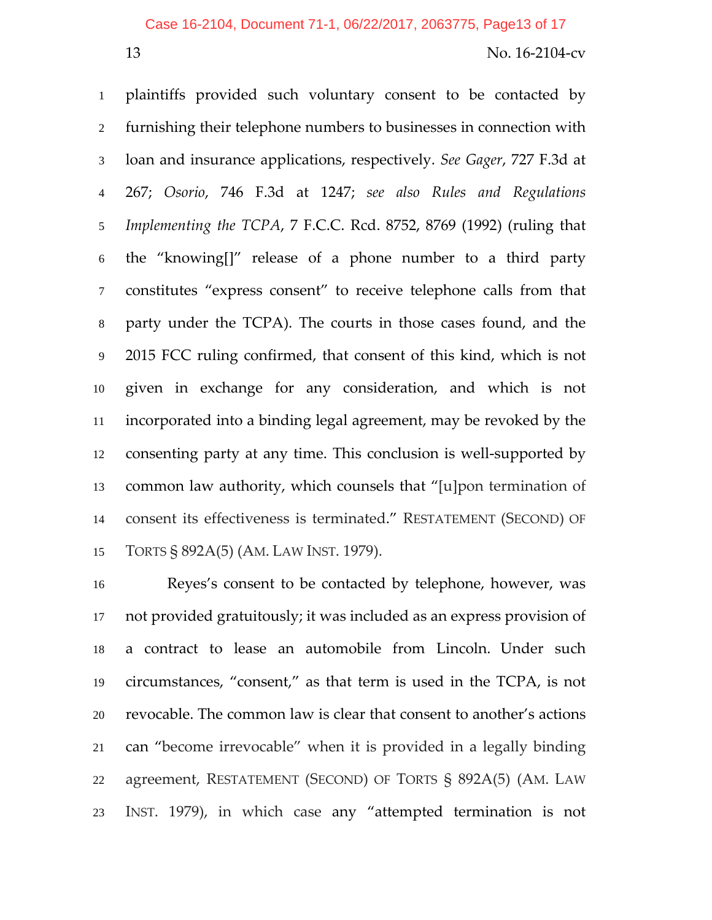#### Case 16-2104, Document 71-1, 06/22/2017, 2063775, Page13 of 17

#### 13 No. 16‐2104‐cv

plaintiffs provided such voluntary consent to be contacted by furnishing their telephone numbers to businesses in connection with loan and insurance applications, respectively. *See Gager*, 727 F.3d at 267; *Osorio*, 746 F.3d at 1247; *see also Rules and Regulations Implementing the TCPA*, 7 F.C.C. Rcd. 8752, 8769 (1992) (ruling that the "knowing[]" release of a phone number to a third party constitutes "express consent" to receive telephone calls from that party under the TCPA). The courts in those cases found, and the 2015 FCC ruling confirmed, that consent of this kind, which is not given in exchange for any consideration, and which is not incorporated into a binding legal agreement, may be revoked by the consenting party at any time. This conclusion is well‐supported by common law authority, which counsels that "[u]pon termination of consent its effectiveness is terminated." RESTATEMENT (SECOND) OF TORTS § 892A(5) (AM. LAW INST. 1979).

Reyes's consent to be contacted by telephone, however, was not provided gratuitously; it was included as an express provision of a contract to lease an automobile from Lincoln. Under such circumstances, "consent," as that term is used in the TCPA, is not revocable. The common law is clear that consent to another's actions can "become irrevocable" when it is provided in a legally binding agreement, RESTATEMENT (SECOND) OF TORTS § 892A(5) (AM. LAW INST. 1979), in which case any "attempted termination is not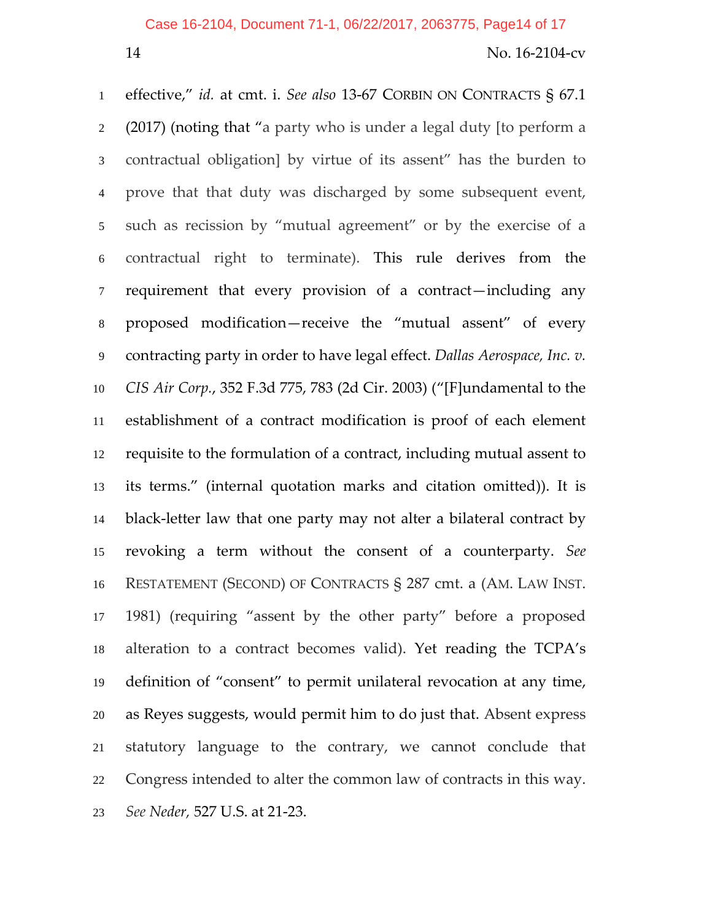#### Case 16-2104, Document 71-1, 06/22/2017, 2063775, Page14 of 17

## 14 No. 16-2104-cv

effective," *id.* at cmt. i. *See also* 13‐67 CORBIN ON CONTRACTS § 67.1 (2017) (noting that "a party who is under a legal duty [to perform a contractual obligation] by virtue of its assent" has the burden to prove that that duty was discharged by some subsequent event, such as recission by "mutual agreement" or by the exercise of a contractual right to terminate). This rule derives from the requirement that every provision of a contract—including any proposed modification—receive the "mutual assent" of every contracting party in order to have legal effect. *Dallas Aerospace, Inc. v. CIS Air Corp.*, 352 F.3d 775, 783 (2d Cir. 2003) ("[F]undamental to the establishment of a contract modification is proof of each element requisite to the formulation of a contract, including mutual assent to its terms." (internal quotation marks and citation omitted)). It is black‐letter law that one party may not alter a bilateral contract by revoking a term without the consent of a counterparty. *See* RESTATEMENT (SECOND) OF CONTRACTS § 287 cmt. a (AM. LAW INST. 1981) (requiring "assent by the other party" before a proposed alteration to a contract becomes valid). Yet reading the TCPA's definition of "consent" to permit unilateral revocation at any time, as Reyes suggests, would permit him to do just that. Absent express statutory language to the contrary, we cannot conclude that Congress intended to alter the common law of contracts in this way. *See Neder,* 527 U.S. at 21‐23.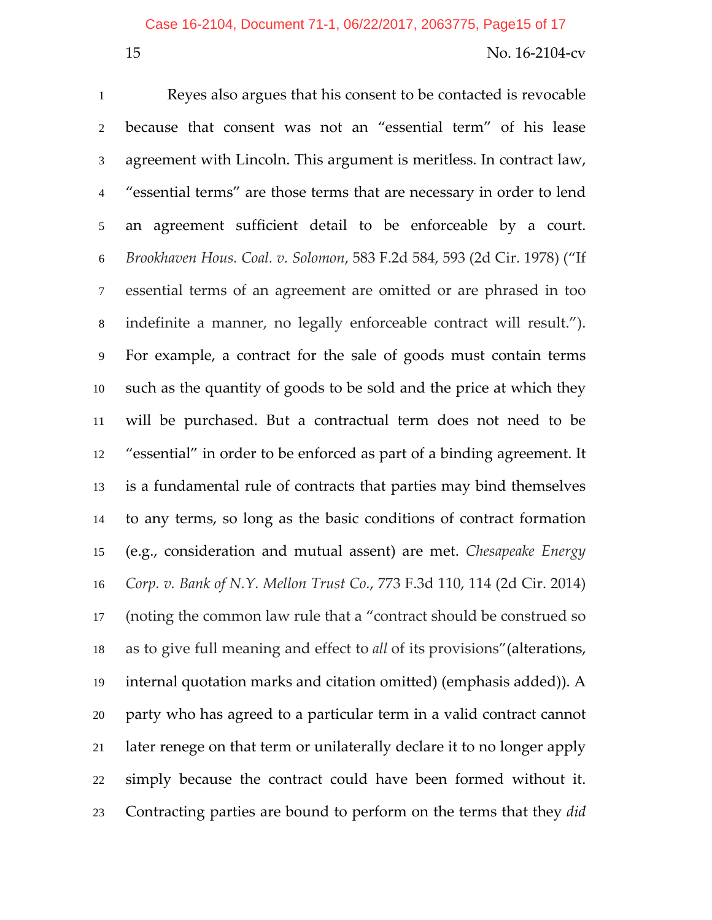Reyes also argues that his consent to be contacted is revocable because that consent was not an "essential term" of his lease agreement with Lincoln. This argument is meritless. In contract law, "essential terms" are those terms that are necessary in order to lend an agreement sufficient detail to be enforceable by a court. *Brookhaven Hous. Coal. v. Solomon*, 583 F.2d 584, 593 (2d Cir. 1978) ("If essential terms of an agreement are omitted or are phrased in too indefinite a manner, no legally enforceable contract will result."). For example, a contract for the sale of goods must contain terms such as the quantity of goods to be sold and the price at which they will be purchased. But a contractual term does not need to be "essential" in order to be enforced as part of a binding agreement. It is a fundamental rule of contracts that parties may bind themselves to any terms, so long as the basic conditions of contract formation (e.g., consideration and mutual assent) are met. *Chesapeake Energy Corp. v. Bank of N.Y. Mellon Trust Co.*, 773 F.3d 110, 114 (2d Cir. 2014) (noting the common law rule that a "contract should be construed so as to give full meaning and effect to *all* of its provisions"(alterations, internal quotation marks and citation omitted) (emphasis added)). A party who has agreed to a particular term in a valid contract cannot later renege on that term or unilaterally declare it to no longer apply simply because the contract could have been formed without it. Contracting parties are bound to perform on the terms that they *did*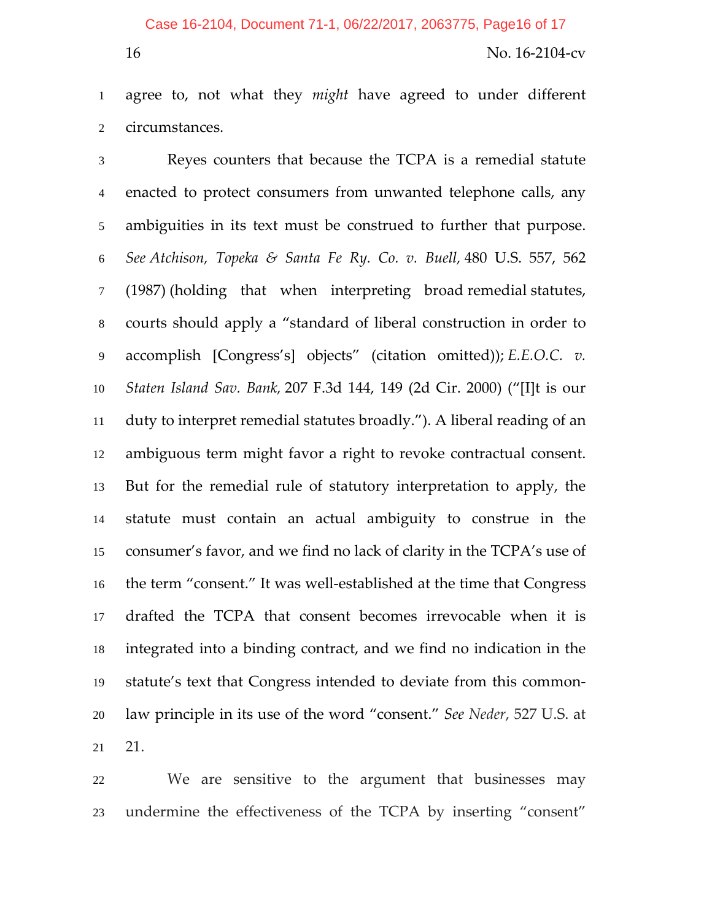#### Case 16-2104, Document 71-1, 06/22/2017, 2063775, Page16 of 17

#### 16 No. 16-2104-cv

agree to, not what they *might* have agreed to under different circumstances.

Reyes counters that because the TCPA is a remedial statute enacted to protect consumers from unwanted telephone calls, any ambiguities in its text must be construed to further that purpose. *See Atchison, Topeka & Santa Fe Ry. Co. v. Buell,* 480 U.S. 557, 562 (1987) (holding that when interpreting broad remedial statutes, courts should apply a "standard of liberal construction in order to accomplish [Congress's] objects" (citation omitted)); *E.E.O.C. v. Staten Island Sav. Bank,* 207 F.3d 144, 149 (2d Cir. 2000) ("[I]t is our duty to interpret remedial statutes broadly."). A liberal reading of an ambiguous term might favor a right to revoke contractual consent. But for the remedial rule of statutory interpretation to apply, the statute must contain an actual ambiguity to construe in the consumer's favor, and we find no lack of clarity in the TCPA's use of 16 the term "consent." It was well-established at the time that Congress drafted the TCPA that consent becomes irrevocable when it is integrated into a binding contract, and we find no indication in the statute's text that Congress intended to deviate from this common‐ law principle in its use of the word "consent." *See Neder*, 527 U.S. at 21.

We are sensitive to the argument that businesses may undermine the effectiveness of the TCPA by inserting "consent"